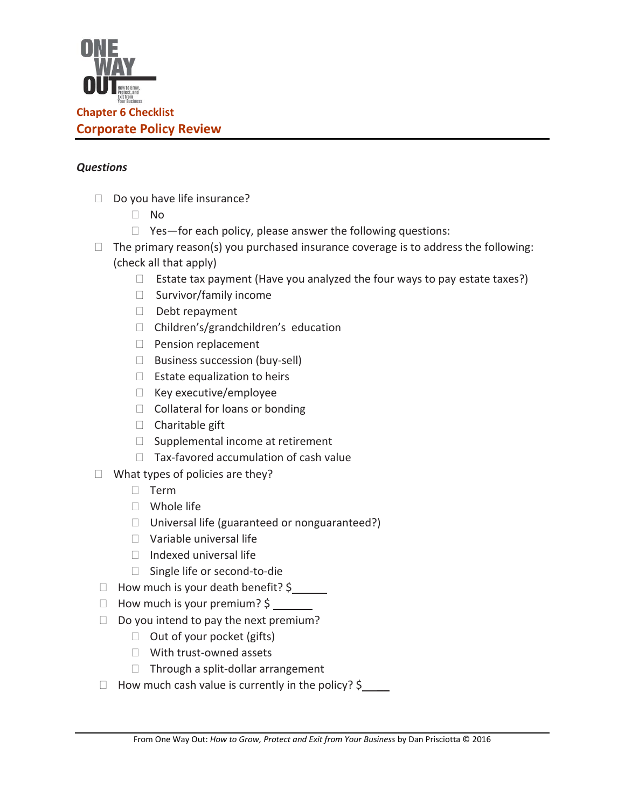

## *Questions*

- $\Box$  Do you have life insurance?
	- No
	- $\Box$  Yes—for each policy, please answer the following questions:
- $\Box$  The primary reason(s) you purchased insurance coverage is to address the following: (check all that apply)
	- $\Box$  Estate tax payment (Have you analyzed the four ways to pay estate taxes?)
	- $\square$  Survivor/family income
	- Debt repayment
	- □ Children's/grandchildren's education
	- **Pension replacement**
	- □ Business succession (buy-sell)
	- $\Box$  Estate equalization to heirs
	- $\Box$  Key executive/employee
	- $\Box$  Collateral for loans or bonding
	- □ Charitable gift
	- $\square$  Supplemental income at retirement
	- $\Box$  Tax-favored accumulation of cash value
- $\Box$  What types of policies are they?
	- □ Term
	- □ Whole life
	- $\Box$  Universal life (guaranteed or nonguaranteed?)
	- $\Box$  Variable universal life
	- $\Box$  Indexed universal life
	- □ Single life or second-to-die
- $\Box$  How much is your death benefit? \$
- □ How much is your premium? \$
- $\Box$  Do you intend to pay the next premium?
	- $\Box$  Out of your pocket (gifts)
	- With trust-owned assets
	- $\Box$  Through a split-dollar arrangement
- $\Box$  How much cash value is currently in the policy? \$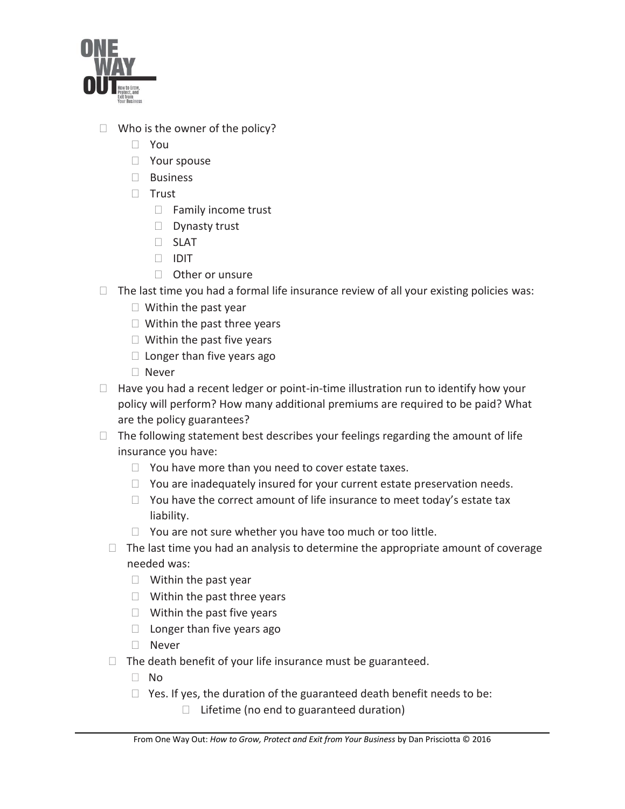

- $\Box$  Who is the owner of the policy?
	- You
	- □ Your spouse
	- □ Business
	- $\Box$  Trust
		- $\Box$  Family income trust
		- Dynasty trust
		- SLAT
		- IDIT
		- □ Other or unsure
- $\Box$  The last time you had a formal life insurance review of all your existing policies was:
	- $\Box$  Within the past year
	- $\Box$  Within the past three years
	- $\Box$  Within the past five years
	- $\Box$  Longer than five years ago
	- □ Never
- $\Box$  Have you had a recent ledger or point-in-time illustration run to identify how your policy will perform? How many additional premiums are required to be paid? What are the policy guarantees?
- $\Box$  The following statement best describes your feelings regarding the amount of life insurance you have:
	- $\Box$  You have more than you need to cover estate taxes.
	- $\Box$  You are inadequately insured for your current estate preservation needs.
	- $\Box$  You have the correct amount of life insurance to meet today's estate tax liability.
	- $\Box$  You are not sure whether you have too much or too little.
	- $\Box$  The last time you had an analysis to determine the appropriate amount of coverage needed was:
		- $\Box$  Within the past year
		- $\Box$  Within the past three years
		- $\Box$  Within the past five years
		- $\Box$  Longer than five years ago
		- □ Never
	- $\Box$  The death benefit of your life insurance must be guaranteed.
		- No
		- $\Box$  Yes. If yes, the duration of the guaranteed death benefit needs to be:
			- $\Box$  Lifetime (no end to guaranteed duration)